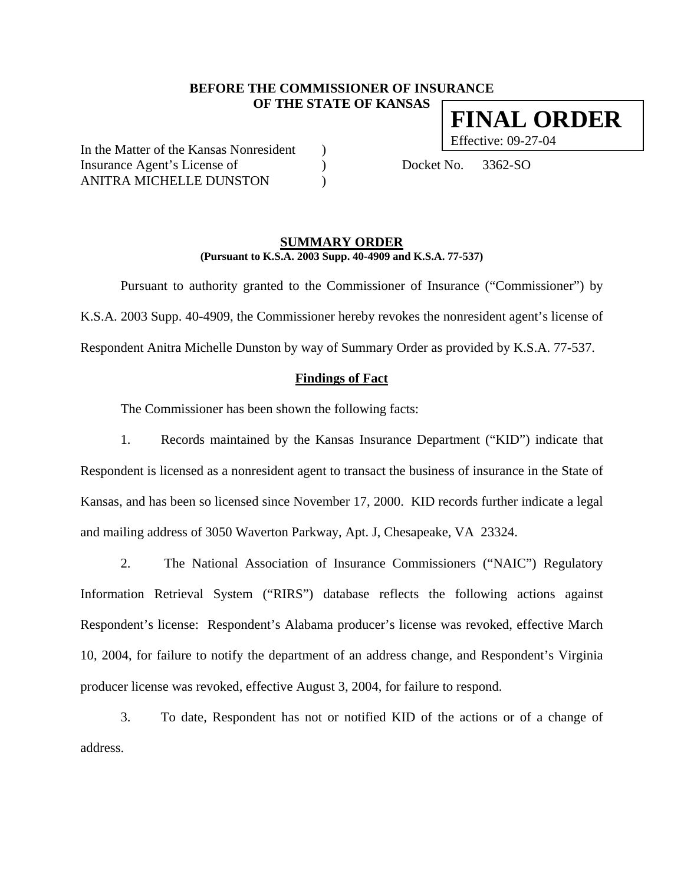# **BEFORE THE COMMISSIONER OF INSURANCE OF THE STATE OF KANSAS**

In the Matter of the Kansas Nonresident ) Insurance Agent's License of (a) Docket No. 3362-SO ANITRA MICHELLE DUNSTON

### **SUMMARY ORDER (Pursuant to K.S.A. 2003 Supp. 40-4909 and K.S.A. 77-537)**

 Pursuant to authority granted to the Commissioner of Insurance ("Commissioner") by K.S.A. 2003 Supp. 40-4909, the Commissioner hereby revokes the nonresident agent's license of Respondent Anitra Michelle Dunston by way of Summary Order as provided by K.S.A. 77-537.

# **Findings of Fact**

The Commissioner has been shown the following facts:

1. Records maintained by the Kansas Insurance Department ("KID") indicate that Respondent is licensed as a nonresident agent to transact the business of insurance in the State of Kansas, and has been so licensed since November 17, 2000. KID records further indicate a legal and mailing address of 3050 Waverton Parkway, Apt. J, Chesapeake, VA 23324.

2. The National Association of Insurance Commissioners ("NAIC") Regulatory Information Retrieval System ("RIRS") database reflects the following actions against Respondent's license: Respondent's Alabama producer's license was revoked, effective March 10, 2004, for failure to notify the department of an address change, and Respondent's Virginia producer license was revoked, effective August 3, 2004, for failure to respond.

3. To date, Respondent has not or notified KID of the actions or of a change of address.

**FINAL ORDER** Effective: 09-27-04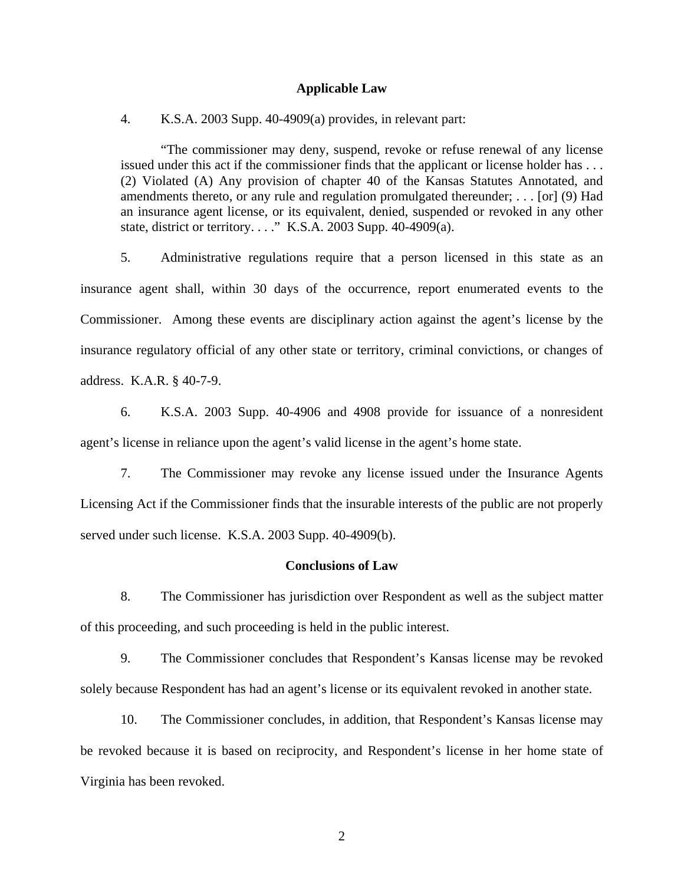### **Applicable Law**

4. K.S.A. 2003 Supp. 40-4909(a) provides, in relevant part:

"The commissioner may deny, suspend, revoke or refuse renewal of any license issued under this act if the commissioner finds that the applicant or license holder has . . . (2) Violated (A) Any provision of chapter 40 of the Kansas Statutes Annotated, and amendments thereto, or any rule and regulation promulgated thereunder; . . . [or] (9) Had an insurance agent license, or its equivalent, denied, suspended or revoked in any other state, district or territory. . . ." K.S.A. 2003 Supp. 40-4909(a).

5. Administrative regulations require that a person licensed in this state as an insurance agent shall, within 30 days of the occurrence, report enumerated events to the Commissioner. Among these events are disciplinary action against the agent's license by the insurance regulatory official of any other state or territory, criminal convictions, or changes of address. K.A.R. § 40-7-9.

6. K.S.A. 2003 Supp. 40-4906 and 4908 provide for issuance of a nonresident agent's license in reliance upon the agent's valid license in the agent's home state.

7. The Commissioner may revoke any license issued under the Insurance Agents Licensing Act if the Commissioner finds that the insurable interests of the public are not properly served under such license. K.S.A. 2003 Supp. 40-4909(b).

## **Conclusions of Law**

8. The Commissioner has jurisdiction over Respondent as well as the subject matter of this proceeding, and such proceeding is held in the public interest.

9. The Commissioner concludes that Respondent's Kansas license may be revoked solely because Respondent has had an agent's license or its equivalent revoked in another state.

10. The Commissioner concludes, in addition, that Respondent's Kansas license may be revoked because it is based on reciprocity, and Respondent's license in her home state of Virginia has been revoked.

2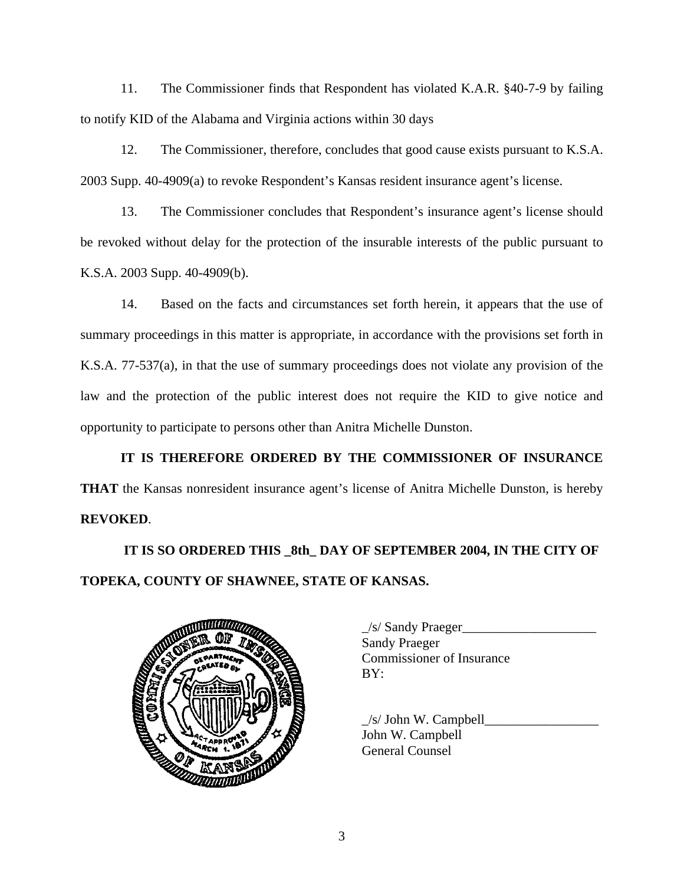11. The Commissioner finds that Respondent has violated K.A.R. §40-7-9 by failing to notify KID of the Alabama and Virginia actions within 30 days

12. The Commissioner, therefore, concludes that good cause exists pursuant to K.S.A. 2003 Supp. 40-4909(a) to revoke Respondent's Kansas resident insurance agent's license.

13. The Commissioner concludes that Respondent's insurance agent's license should be revoked without delay for the protection of the insurable interests of the public pursuant to K.S.A. 2003 Supp. 40-4909(b).

14. Based on the facts and circumstances set forth herein, it appears that the use of summary proceedings in this matter is appropriate, in accordance with the provisions set forth in K.S.A. 77-537(a), in that the use of summary proceedings does not violate any provision of the law and the protection of the public interest does not require the KID to give notice and opportunity to participate to persons other than Anitra Michelle Dunston.

**IT IS THEREFORE ORDERED BY THE COMMISSIONER OF INSURANCE THAT** the Kansas nonresident insurance agent's license of Anitra Michelle Dunston, is hereby **REVOKED**.

 **IT IS SO ORDERED THIS \_8th\_ DAY OF SEPTEMBER 2004, IN THE CITY OF TOPEKA, COUNTY OF SHAWNEE, STATE OF KANSAS.** 



| $\angle$ s/ Sandy Praeger        |
|----------------------------------|
| <b>Sandy Praeger</b>             |
| <b>Commissioner of Insurance</b> |
| BY:                              |
|                                  |

 $/s/$  John W. Campbell John W. Campbell General Counsel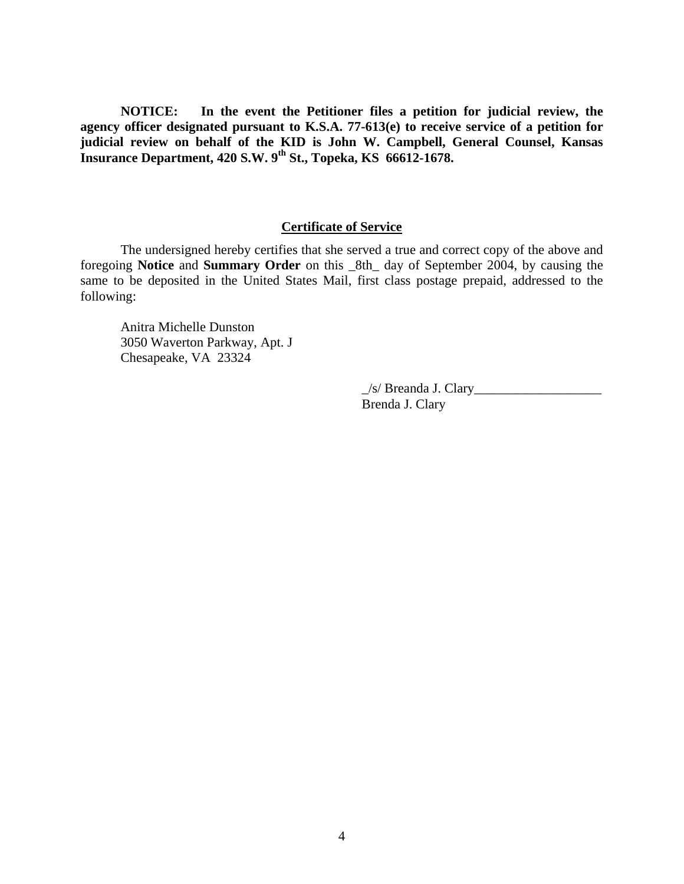**NOTICE: In the event the Petitioner files a petition for judicial review, the agency officer designated pursuant to K.S.A. 77-613(e) to receive service of a petition for judicial review on behalf of the KID is John W. Campbell, General Counsel, Kansas Insurance Department, 420 S.W. 9th St., Topeka, KS 66612-1678.** 

# **Certificate of Service**

 The undersigned hereby certifies that she served a true and correct copy of the above and foregoing **Notice** and **Summary Order** on this \_8th\_ day of September 2004, by causing the same to be deposited in the United States Mail, first class postage prepaid, addressed to the following:

Anitra Michelle Dunston 3050 Waverton Parkway, Apt. J Chesapeake, VA 23324

> $\angle$ s/ Breanda J. Clary $\angle$ Brenda J. Clary